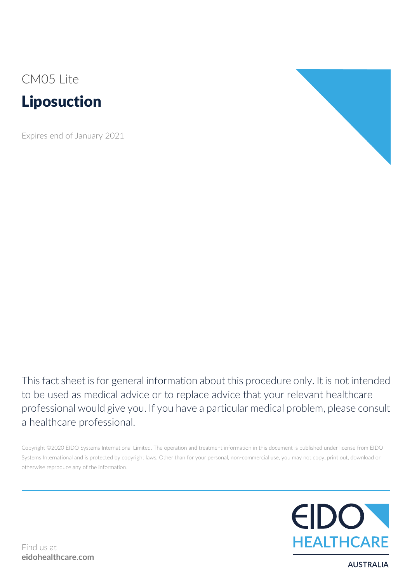# CM05 Lite Liposuction

Expires end of January 2021



This fact sheet is for general information about this procedure only. It is not intended to be used as medical advice or to replace advice that your relevant healthcare professional would give you. If you have a particular medical problem, please consult a healthcare professional.

Copyright ©2020 EIDO Systems International Limited. The operation and treatment information in this document is published under license from EIDO Systems International and is protected by copyright laws. Other than for your personal, non-commercial use, you may not copy, print out, download or otherwise reproduce any of the information.



**AUSTRALIA**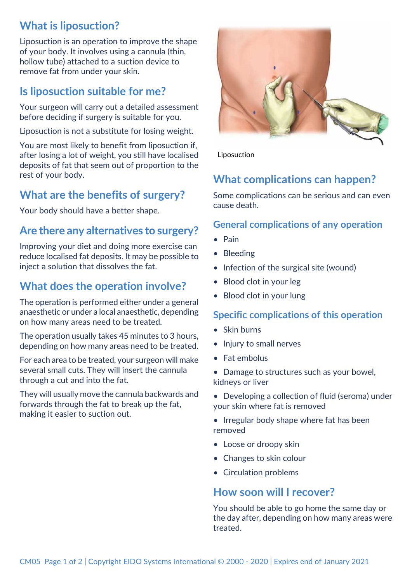## **What is liposuction?**

Liposuction is an operation to improve the shape of your body. It involves using a cannula (thin, hollow tube) attached to a suction device to remove fat from under your skin.

## **Is liposuction suitable for me?**

Your surgeon will carry out a detailed assessment before deciding if surgery is suitable for you.

Liposuction is not a substitute for losing weight.

You are most likely to benefit from liposuction if, after losing a lot of weight, you still have localised deposits of fat that seem out of proportion to the rest of your body.

## **What are the benefits of surgery?**

Your body should have a better shape.

#### **Are there any alternatives to surgery?**

Improving your diet and doing more exercise can reduce localised fat deposits. It may be possible to inject a solution that dissolves the fat.

## **What does the operation involve?**

The operation is performed either under a general anaesthetic or under a local anaesthetic, depending on how many areas need to be treated.

The operation usually takes 45 minutes to 3 hours, depending on how many areas need to be treated.

For each area to be treated, your surgeon will make several small cuts. They will insert the cannula through a cut and into the fat.

They will usually move the cannula backwards and forwards through the fat to break up the fat, making it easier to suction out.



Liposuction

## **What complications can happen?**

Some complications can be serious and can even cause death.

#### **General complications of any operation**

- Pain
- Bleeding
- Infection of the surgical site (wound)
- Blood clot in your leg
- Blood clot in your lung

#### **Specific complications of this operation**

- Skin burns
- Injury to small nerves
- Fat embolus
- Damage to structures such as your bowel, kidneys or liver
- Developing a collection of fluid (seroma) under your skin where fat is removed
- Irregular body shape where fat has been removed
- Loose or droopy skin
- Changes to skin colour
- Circulation problems

#### **How soon will I recover?**

You should be able to go home the same day or the day after, depending on how many areas were treated.